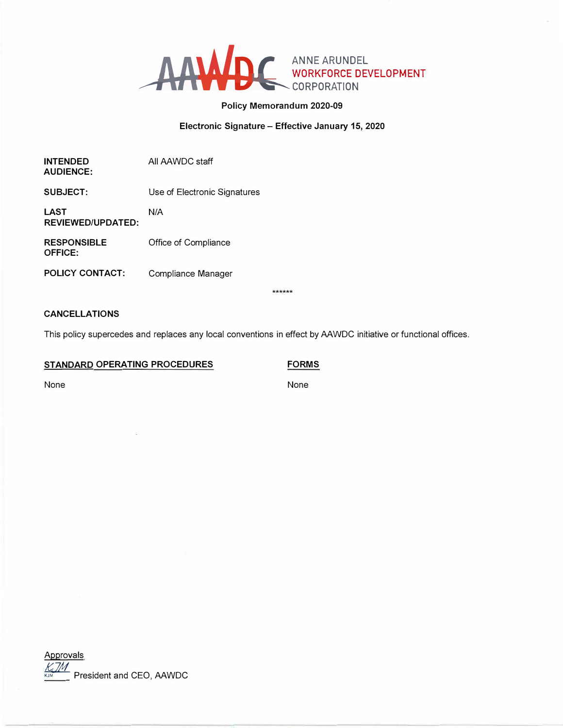

# **Policy Memorandum 2020-09**

## **Electronic Signature - Effective January 15, 2020**

| <b>INTENDED</b><br><b>AUDIENCE:</b>  | All AAWDC staff              |                 |
|--------------------------------------|------------------------------|-----------------|
| SUBJECT:                             | Use of Electronic Signatures |                 |
| LAST<br><b>REVIEWED/UPDATED:</b>     | N/A                          |                 |
| <b>RESPONSIBLE</b><br><b>OFFICE:</b> | Office of Compliance         |                 |
| POLICY CONTACT:                      | Compliance Manager           |                 |
|                                      |                              | ملەملەملەملەملە |

\*\*\*\*\*\*

# **CANCELLATIONS**

This policy supercedes and replaces any local conventions in effect by AAWDC initiative or functional offices.

## **STANDARD OPERATING PROCEDURES**

**FORMS** 

None

None

Approvals *<i>K*<sub>*k*J*M*</sub><br>President and CEO, AAWDC